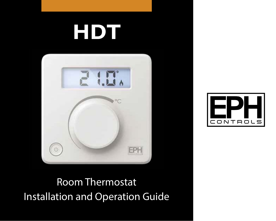# **HDT**





Installation and Operation Guide Room Thermostat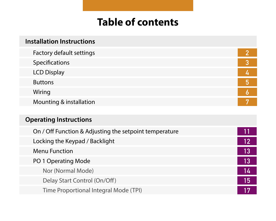# **Table of contents**

| <b>Installation Instructions</b>                       |                |  |  |  |
|--------------------------------------------------------|----------------|--|--|--|
| Factory default settings                               | $\overline{2}$ |  |  |  |
| Specifications                                         | 3              |  |  |  |
| <b>LCD Display</b>                                     | 4              |  |  |  |
| <b>Buttons</b>                                         | 5              |  |  |  |
| Wiring                                                 | 6              |  |  |  |
| Mounting & installation                                | 7              |  |  |  |
|                                                        |                |  |  |  |
| <b>Operating Instructions</b>                          |                |  |  |  |
|                                                        |                |  |  |  |
| On / Off Function & Adjusting the setpoint temperature |                |  |  |  |
| Locking the Keypad / Backlight                         | 12             |  |  |  |
| Menu Function                                          | 13             |  |  |  |
| PO 1 Operating Mode                                    | 13             |  |  |  |
| Nor (Normal Mode)                                      | 14             |  |  |  |
| Delay Start Control (On/Off)                           | 15             |  |  |  |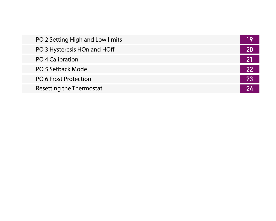| PO 2 Setting High and Low limits |  |
|----------------------------------|--|
| PO 3 Hysteresis HOn and HOff     |  |
| PO 4 Calibration                 |  |
| PO 5 Setback Mode                |  |
| PO 6 Frost Protection            |  |
| Resetting the Thermostat         |  |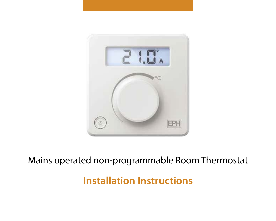

### Mains operated non-programmable Room Thermostat

**Installation Instructions**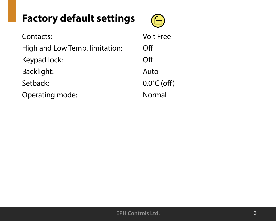## **Factory default settings**



| Contacts:                      | <b>Volt Free</b>      |
|--------------------------------|-----------------------|
| High and Low Temp. limitation: | Ωff                   |
| Keypad lock:                   | Ωff                   |
| Backlight:                     | Auto                  |
| Setback:                       | $0.0^{\circ}$ C (off) |
| Operating mode:                | Normal                |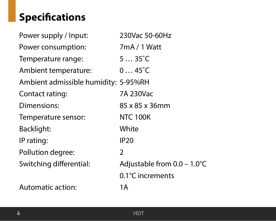# **Specifications**

| Power supply / Input:                | 230Vac 50-60Hz              |
|--------------------------------------|-----------------------------|
| Power consumption:                   | 7mA / 1 Watt                |
| Temperature range:                   | $535^{\circ}$ C             |
| Ambient temperature:                 | $045^{\circ}$ C             |
| Ambient admissible humidity: 5-95%RH |                             |
| Contact rating:                      | 7A 230Vac                   |
| Dimensions:                          | 85 x 85 x 36mm              |
| Temperature sensor:                  | <b>NTC 100K</b>             |
| Backlight:                           | White                       |
| IP rating:                           | <b>IP20</b>                 |
| Pollution degree:                    | 2                           |
| Switching differential:              | Adjustable from 0.0 - 1.0°C |
|                                      | 0.1°C increments            |
| Automatic action:                    | 1А                          |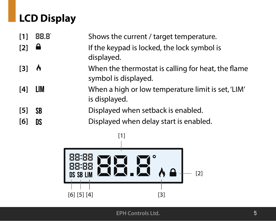# **LCD Display**

| $[1]$            | 88.8 | Shows the current / target temperature.                                    |
|------------------|------|----------------------------------------------------------------------------|
| $[2]$            | -8   | If the keypad is locked, the lock symbol is<br>displayed.                  |
| $[3]$ $\uparrow$ |      | When the thermostat is calling for heat, the flame<br>symbol is displayed. |
| [4]              | LIM. | When a high or low temperature limit is set, 'LIM'<br>is displayed.        |
| [5]              | SB   | Displayed when setback is enabled.                                         |
| [6]              | DS   | Displayed when delay start is enabled.                                     |

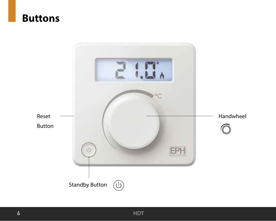

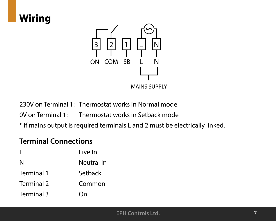

230V on Terminal 1: Thermostat works in Normal mode

0V on Terminal 1: Thermostat works in Setback mode

\* If mains output is required terminals L and 2 must be electrically linked.

#### **Terminal Connections**

|            | Live In    |
|------------|------------|
| N          | Neutral In |
| Terminal 1 | Setback    |
| Terminal 2 | Common     |
| Terminal 3 | On         |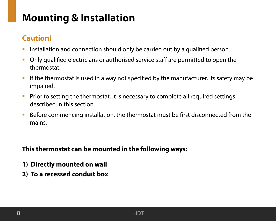## **Mounting & Installation**

#### **Caution!**

- Installation and connection should only be carried out by a qualified person.
- Only qualified electricians or authorised service staff are permitted to open the thermostat.
- If the thermostat is used in a way not specified by the manufacturer, its safety may be impaired.
- **Prior to setting the thermostat, it is necessary to complete all required settings** described in this section.
- Before commencing installation, the thermostat must be first disconnected from the mains.

#### **This thermostat can be mounted in the following ways:**

- **1) Directly mounted on wall**
- **2) To a recessed conduit box**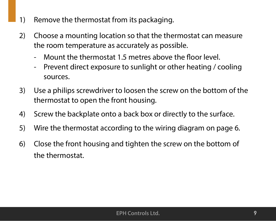- 1) Remove the thermostat from its packaging.
- 2) Choose a mounting location so that the thermostat can measure the room temperature as accurately as possible.
	- Mount the thermostat 1.5 metres above the floor level.
	- Prevent direct exposure to sunlight or other heating / cooling sources.
- 3) Use a philips screwdriver to loosen the screw on the bottom of the thermostat to open the front housing.
- 4) Screw the backplate onto a back box or directly to the surface.
- 5) Wire the thermostat according to the wiring diagram on page 6.
- 6) Close the front housing and tighten the screw on the bottom of the thermostat.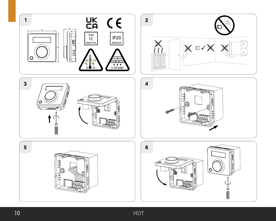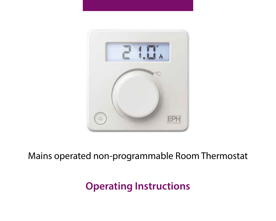

### Mains operated non-programmable Room Thermostat

### **Operating Instructions**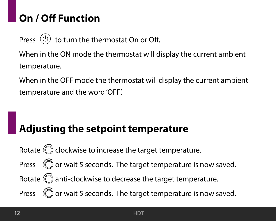# **On / Off Function**

Press  $\left(\overline{0}\right)$  to turn the thermostat On or Off.

When in the ON mode the thermostat will display the current ambient temperature.

When in the OFF mode the thermostat will display the current ambient temperature and the word 'OFF'.

# **Adjusting the setpoint temperature**

Rotate  $\widehat{\mathbb{O}}$  clockwise to increase the target temperature. Press  $\widehat{\mathbb{O}}$  or wait 5 seconds. The target temperature is now saved. Rotate  $\bigcirc$  anti-clockwise to decrease the target temperature. Press  $\widehat{\mathbb{O}}$  or wait 5 seconds. The target temperature is now saved.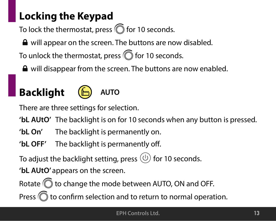# **Locking the Keypad**

To lock the thermostat, press  $\widehat{\mathbb{O}}$  for 10 seconds.

 $\triangle$  will appear on the screen. The buttons are now disabled.

To unlock the thermostat, press  $\widehat{\mathbb{O}}$  for 10 seconds.

**△** will disappear from the screen. The buttons are now enabled.

### **Backlight** (M) AUTO



There are three settings for selection.

**'bL AUtO'** The backlight is on for 10 seconds when any button is pressed.

- **'bL On'** The backlight is permanently on.
- 'bL OFF' The backlight is permanently off.

To adjust the backlight setting, press  $(\theta)$  for 10 seconds.

'bL AUtO' appears on the screen.

Rotate  $\widehat{\mathbb{O}}$  to change the mode between AUTO, ON and OFF.

Press  $\widehat{\mathbb{O}}$  to confirm selection and to return to normal operation.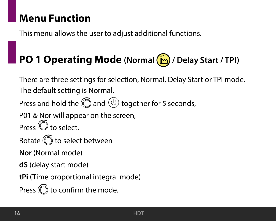### **Menu Function**

This menu allows the user to adjust additional functions.

# **PO 1 Operating Mode (Normal / Delay Start / TPI)**

There are three settings for selection, Normal, Delay Start or TPI mode. The default setting is Normal. Press and hold the  $\textcircled{a}$  and  $\textcircled{b}$  together for 5 seconds, P01 & Nor will appear on the screen,  $P$ ress  $\overline{\mathbb{O}}$  to select. Rotate  $\widehat{\mathbb{O}}$  to select between **Nor** (Normal mode) **dS** (delay start mode) **tPi** (Time proportional integral mode) Press  $\widehat{\mathbb{O}}$  to confirm the mode.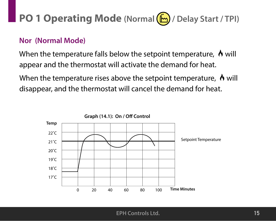# **PO 1 Operating Mode (Normal / Delay Start / TPI)**

#### **Nor (Normal Mode)**

When the temperature falls below the setpoint temperature,  $\Lambda$  will appear and the thermostat will activate the demand for heat.

When the temperature rises above the setpoint temperature,  $\Lambda$  will disappear, and the thermostat will cancel the demand for heat.

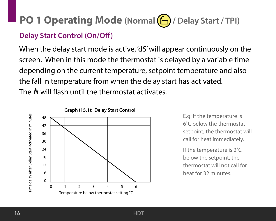# **PO 1 Operating Mode** (Normal  $\left(\frac{F}{F}\right)$  / Delay Start / TPI)

#### **Delay Start Control (On/Off)**

When the delay start mode is active, 'dS' will appear continuously on the screen. When in this mode the thermostat is delayed by a variable time depending on the current temperature, setpoint temperature and also the fall in temperature from when the delay start has activated. The  $\Lambda$  will flash until the thermostat activates.



**Graph (15.1): Delay Start Control** 

E.g: If the temperature is 6˚C below the thermostat setpoint, the thermostat will call for heat immediately.

If the temperature is 2˚C below the setpoint, the thermostat will not call for heat for 32 minutes.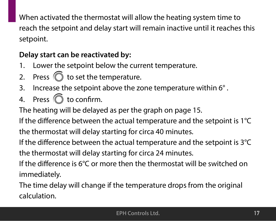When activated the thermostat will allow the heating system time to reach the setpoint and delay start will remain inactive until it reaches this setpoint.

#### **Delay start can be reactivated by:**

- 1. Lower the setpoint below the current temperature.
- 2. Press  $\textcircled{}$  to set the temperature.
- 3. Increase the setpoint above the zone temperature within 6° .
- 4. Press  $\widehat{\mathbb{O}}$  to confirm.

The heating will be delayed as per the graph on page 15.

If the difference between the actual temperature and the setpoint is  $1^{\circ}C$ 

the thermostat will delay starting for circa 40 minutes.

If the difference between the actual temperature and the setpoint is  $3^{\circ}$ C the thermostat will delay starting for circa 24 minutes.

If the difference is  $6^\circ$ C or more then the thermostat will be switched on immediately.

The time delay will change if the temperature drops from the original calculation.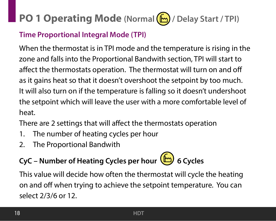# **PO 1 Operating Mode (Normal / Delay Start / TPI)**

#### **Time Proportional Integral Mode (TPI)**

When the thermostat is in TPI mode and the temperature is rising in the zone and falls into the Proportional Bandwith section, TPI will start to affect the thermostats operation. The thermostat will turn on and off as it gains heat so that it doesn't overshoot the setpoint by too much. It will also turn on if the temperature is falling so it doesn't undershoot the setpoint which will leave the user with a more comfortable level of heat.

There are 2 settings that will affect the thermostats operation

- 1. The number of heating cycles per hour
- 2. The Proportional Bandwith

# **CyC – Number of Heating Cycles per hour 6 Cycles**

This value will decide how often the thermostat will cycle the heating on and off when trying to achieve the setpoint temperature. You can select 2/3/6 or 12.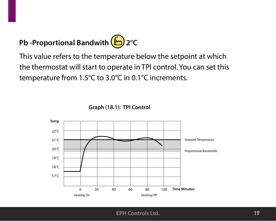# **Pb -Proportional Bandwith 2°C**

This value refers to the temperature below the setpoint at which the thermostat will start to operate in TPI control. You can set this temperature from 1.5°C to 3.0°C in 0.1°C increments.

**Graph (18.1): TPI Control**

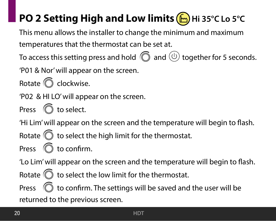# **PO 2 Setting High and Low limits (b)** Hi 35°C Lo 5°C

This menu allows the installer to change the minimum and maximum temperatures that the thermostat can be set at.

To access this setting press and hold  $\textcircled{a}$  and  $\textcircled{b}$  together for 5 seconds.

'P01 & Nor' will appear on the screen.

Rotate  $\textcircled{C}$  clockwise.

'P02 & HI LO' will appear on the screen.

Press  $\bigcirc$  to select.

'Hi Lim' will appear on the screen and the temperature will begin to flash.

Rotate  $\textcircled{}$  to select the high limit for the thermostat.

Press  $\bigcirc$  to confirm.

'Lo Lim' will appear on the screen and the temperature will begin to flash.

Rotate  $\textcircled{}$  to select the low limit for the thermostat.

Press  $\widehat{\mathbb{O}}$  to confirm. The settings will be saved and the user will be returned to the previous screen.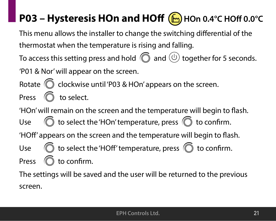# **P03 – Hysteresis HOn and HOff (** $\bigcirc$ **)** HOn 0.4°C HOff 0.0°C

This menu allows the installer to change the switching differential of the thermostat when the temperature is rising and falling.

To access this setting press and hold  $\textcircled{a}$  and  $\textcircled{b}$  together for 5 seconds. 'P01 & Nor' will appear on the screen.

Rotate  $\binom{2}{1}$  clockwise until 'P03 & HOn' appears on the screen. Press  $\circled{}$  to select.

'HOn' will remain on the screen and the temperature will begin to flash. Use  $\bigcirc$  to select the 'HOn' temperature, press  $\bigcirc$  to confirm. 'HOff' appears on the screen and the temperature will begin to flash. Use  $\bigcirc$  to select the 'HOff' temperature, press  $\bigcirc$  to confirm. Press  $\bigcirc$  to confirm.

The settings will be saved and the user will be returned to the previous screen.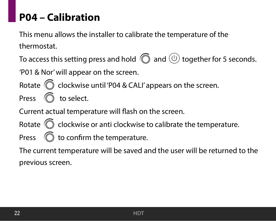## **P04 – Calibration**

This menu allows the installer to calibrate the temperature of the thermostat.

To access this setting press and hold  $\textcircled{a}$  and  $\textcircled{b}$  together for 5 seconds.

'P01 & Nor' will appear on the screen.

Rotate  $\widehat{\mathbb{O}}$  clockwise until 'P04 & CALI' appears on the screen.

Press  $\bigcirc$  to select.

Current actual temperature will flash on the screen.

Rotate  $\widehat{\mathbb{C}}$  clockwise or anti clockwise to calibrate the temperature. Press  $\bigcirc$  to confirm the temperature.

The current temperature will be saved and the user will be returned to the previous screen.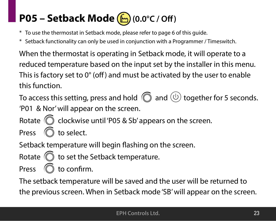# **P05 – Setback Mode**  $\left(\begin{matrix} m \\ m \end{matrix}\right)$  **(0.0°C / Off)**

- \* To use the thermostat in Setback mode, please refer to page 6 of this guide.
- \* Setback functionality can only be used in conjunction with a Programmer / Timeswitch.

When the thermostat is operating in Setback mode, it will operate to a reduced temperature based on the input set by the installer in this menu. This is factory set to  $0^{\circ}$  (off) and must be activated by the user to enable this function.

To access this setting, press and hold  $\textcircled{C}$  and  $\textcircled{0}$  together for 5 seconds. 'P01 & Nor' will appear on the screen.

Rotate  $\bigcirc$  clockwise until 'P05 & Sb' appears on the screen. Press  $\bigcirc$  to select.

Setback temperature will begin flashing on the screen.

$$
\text{Rotate} \ \textcircled{} \ \text{to set the Setback temperature.}
$$

Press  $\bigcirc$  to confirm.

The setback temperature will be saved and the user will be returned to the previous screen. When in Setback mode 'SB' will appear on the screen.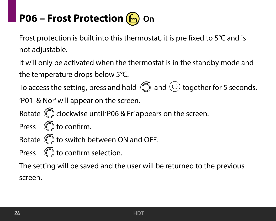# **P06 – Frost Protection** (**b**) On

Frost protection is built into this thermostat, it is pre fixed to  $5^{\circ}$ C and is not adjustable.

It will only be activated when the thermostat is in the standby mode and the temperature drops below 5°C.

To access the setting, press and hold  $\textcircled{C}$  and  $\textcircled{0}$  together for 5 seconds.

'P01 & Nor' will appear on the screen.

Rotate  $\widehat{\mathbb{C}}$  clockwise until 'P06 & Fr' appears on the screen.

- Press  $\bigcirc$  to confirm.
- Rotate  $\widehat{\mathbb{O}}$  to switch between ON and OFF.

Press  $\bigcirc$  to confirm selection.

The setting will be saved and the user will be returned to the previous screen.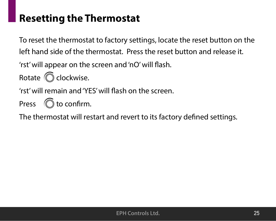## **Resetting the Thermostat**

To reset the thermostat to factory settings, locate the reset button on the left hand side of the thermostat. Press the reset button and release it.

'rst' will appear on the screen and 'nO' will flash.

Rotate  $\bigcirc$  clockwise.

'rst' will remain and 'YES' will flash on the screen.

Press  $\bigcirc$  to confirm.

The thermostat will restart and revert to its factory defined settings.